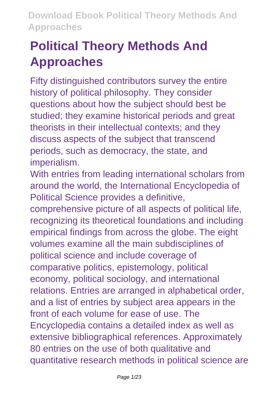# **Political Theory Methods And Approaches**

Fifty distinguished contributors survey the entire history of political philosophy. They consider questions about how the subject should best be studied; they examine historical periods and great theorists in their intellectual contexts; and they discuss aspects of the subject that transcend periods, such as democracy, the state, and imperialism.

With entries from leading international scholars from around the world, the International Encyclopedia of Political Science provides a definitive,

comprehensive picture of all aspects of political life, recognizing its theoretical foundations and including empirical findings from across the globe. The eight volumes examine all the main subdisciplines of political science and include coverage of comparative politics, epistemology, political economy, political sociology, and international relations. Entries are arranged in alphabetical order, and a list of entries by subject area appears in the front of each volume for ease of use. The Encyclopedia contains a detailed index as well as extensive bibliographical references. Approximately 80 entries on the use of both qualitative and quantitative research methods in political science are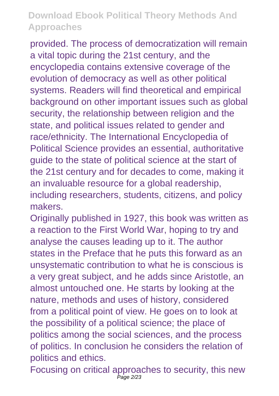provided. The process of democratization will remain a vital topic during the 21st century, and the encyclopedia contains extensive coverage of the evolution of democracy as well as other political systems. Readers will find theoretical and empirical background on other important issues such as global security, the relationship between religion and the state, and political issues related to gender and race/ethnicity. The International Encyclopedia of Political Science provides an essential, authoritative guide to the state of political science at the start of the 21st century and for decades to come, making it an invaluable resource for a global readership, including researchers, students, citizens, and policy makers.

Originally published in 1927, this book was written as a reaction to the First World War, hoping to try and analyse the causes leading up to it. The author states in the Preface that he puts this forward as an unsystematic contribution to what he is conscious is a very great subject, and he adds since Aristotle, an almost untouched one. He starts by looking at the nature, methods and uses of history, considered from a political point of view. He goes on to look at the possibility of a political science; the place of politics among the social sciences, and the process of politics. In conclusion he considers the relation of politics and ethics.

Focusing on critical approaches to security, this new Page 2/23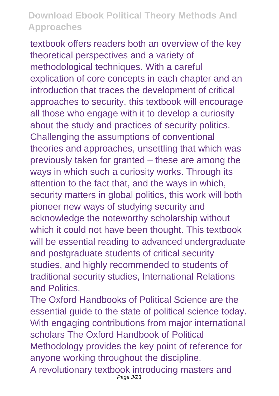textbook offers readers both an overview of the key theoretical perspectives and a variety of methodological techniques. With a careful explication of core concepts in each chapter and an introduction that traces the development of critical approaches to security, this textbook will encourage all those who engage with it to develop a curiosity about the study and practices of security politics. Challenging the assumptions of conventional theories and approaches, unsettling that which was previously taken for granted – these are among the ways in which such a curiosity works. Through its attention to the fact that, and the ways in which, security matters in global politics, this work will both pioneer new ways of studying security and acknowledge the noteworthy scholarship without which it could not have been thought. This textbook will be essential reading to advanced undergraduate and postgraduate students of critical security studies, and highly recommended to students of traditional security studies, International Relations and Politics.

The Oxford Handbooks of Political Science are the essential guide to the state of political science today. With engaging contributions from major international scholars The Oxford Handbook of Political Methodology provides the key point of reference for anyone working throughout the discipline. A revolutionary textbook introducing masters and Page 3/23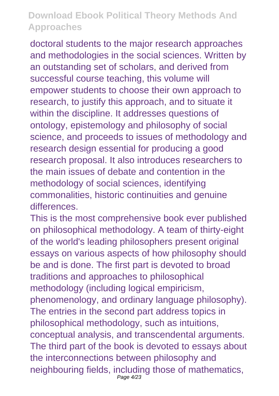doctoral students to the major research approaches and methodologies in the social sciences. Written by an outstanding set of scholars, and derived from successful course teaching, this volume will empower students to choose their own approach to research, to justify this approach, and to situate it within the discipline. It addresses questions of ontology, epistemology and philosophy of social science, and proceeds to issues of methodology and research design essential for producing a good research proposal. It also introduces researchers to the main issues of debate and contention in the methodology of social sciences, identifying commonalities, historic continuities and genuine differences.

This is the most comprehensive book ever published on philosophical methodology. A team of thirty-eight of the world's leading philosophers present original essays on various aspects of how philosophy should be and is done. The first part is devoted to broad traditions and approaches to philosophical methodology (including logical empiricism, phenomenology, and ordinary language philosophy). The entries in the second part address topics in philosophical methodology, such as intuitions, conceptual analysis, and transcendental arguments. The third part of the book is devoted to essays about the interconnections between philosophy and neighbouring fields, including those of mathematics, Page 4/23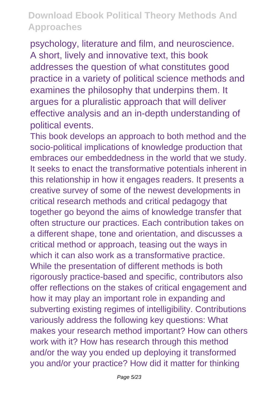psychology, literature and film, and neuroscience. A short, lively and innovative text, this book addresses the question of what constitutes good practice in a variety of political science methods and examines the philosophy that underpins them. It argues for a pluralistic approach that will deliver effective analysis and an in-depth understanding of political events.

This book develops an approach to both method and the socio-political implications of knowledge production that embraces our embeddedness in the world that we study. It seeks to enact the transformative potentials inherent in this relationship in how it engages readers. It presents a creative survey of some of the newest developments in critical research methods and critical pedagogy that together go beyond the aims of knowledge transfer that often structure our practices. Each contribution takes on a different shape, tone and orientation, and discusses a critical method or approach, teasing out the ways in which it can also work as a transformative practice. While the presentation of different methods is both rigorously practice-based and specific, contributors also offer reflections on the stakes of critical engagement and how it may play an important role in expanding and subverting existing regimes of intelligibility. Contributions variously address the following key questions: What makes your research method important? How can others work with it? How has research through this method and/or the way you ended up deploying it transformed you and/or your practice? How did it matter for thinking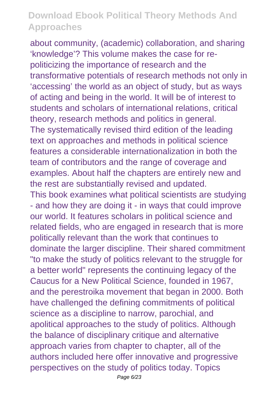about community, (academic) collaboration, and sharing 'knowledge'? This volume makes the case for repoliticizing the importance of research and the transformative potentials of research methods not only in 'accessing' the world as an object of study, but as ways of acting and being in the world. It will be of interest to students and scholars of international relations, critical theory, research methods and politics in general. The systematically revised third edition of the leading text on approaches and methods in political science features a considerable internationalization in both the team of contributors and the range of coverage and examples. About half the chapters are entirely new and the rest are substantially revised and updated. This book examines what political scientists are studying - and how they are doing it - in ways that could improve our world. It features scholars in political science and related fields, who are engaged in research that is more politically relevant than the work that continues to dominate the larger discipline. Their shared commitment "to make the study of politics relevant to the struggle for a better world" represents the continuing legacy of the Caucus for a New Political Science, founded in 1967, and the perestroika movement that began in 2000. Both have challenged the defining commitments of political science as a discipline to narrow, parochial, and apolitical approaches to the study of politics. Although the balance of disciplinary critique and alternative approach varies from chapter to chapter, all of the authors included here offer innovative and progressive perspectives on the study of politics today. Topics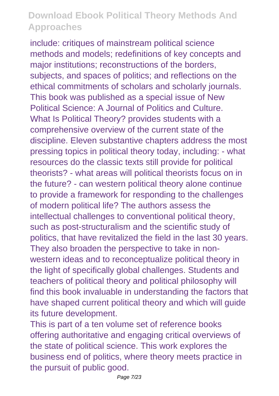include: critiques of mainstream political science methods and models; redefinitions of key concepts and major institutions; reconstructions of the borders, subjects, and spaces of politics; and reflections on the ethical commitments of scholars and scholarly journals. This book was published as a special issue of New Political Science: A Journal of Politics and Culture. What Is Political Theory? provides students with a comprehensive overview of the current state of the discipline. Eleven substantive chapters address the most pressing topics in political theory today, including: - what resources do the classic texts still provide for political theorists? - what areas will political theorists focus on in the future? - can western political theory alone continue to provide a framework for responding to the challenges of modern political life? The authors assess the intellectual challenges to conventional political theory, such as post-structuralism and the scientific study of politics, that have revitalized the field in the last 30 years. They also broaden the perspective to take in nonwestern ideas and to reconceptualize political theory in the light of specifically global challenges. Students and teachers of political theory and political philosophy will find this book invaluable in understanding the factors that have shaped current political theory and which will guide its future development.

This is part of a ten volume set of reference books offering authoritative and engaging critical overviews of the state of political science. This work explores the business end of politics, where theory meets practice in the pursuit of public good.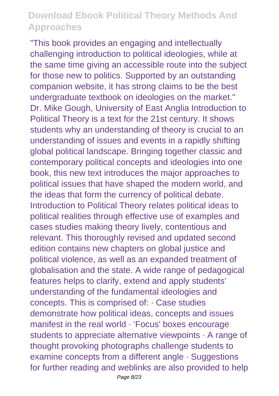"This book provides an engaging and intellectually challenging introduction to political ideologies, while at the same time giving an accessible route into the subject for those new to politics. Supported by an outstanding companion website, it has strong claims to be the best undergraduate textbook on ideologies on the market." Dr. Mike Gough, University of East Anglia Introduction to Political Theory is a text for the 21st century. It shows students why an understanding of theory is crucial to an understanding of issues and events in a rapidly shifting global political landscape. Bringing together classic and contemporary political concepts and ideologies into one book, this new text introduces the major approaches to political issues that have shaped the modern world, and the ideas that form the currency of political debate. Introduction to Political Theory relates political ideas to political realities through effective use of examples and cases studies making theory lively, contentious and relevant. This thoroughly revised and updated second edition contains new chapters on global justice and political violence, as well as an expanded treatment of globalisation and the state. A wide range of pedagogical features helps to clarify, extend and apply students' understanding of the fundamental ideologies and concepts. This is comprised of: · Case studies demonstrate how political ideas, concepts and issues manifest in the real world · 'Focus' boxes encourage students to appreciate alternative viewpoints · A range of thought provoking photographs challenge students to examine concepts from a different angle · Suggestions for further reading and weblinks are also provided to help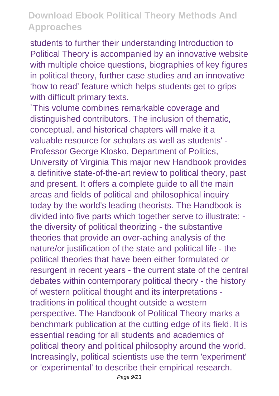students to further their understanding Introduction to Political Theory is accompanied by an innovative website with multiple choice questions, biographies of key figures in political theory, further case studies and an innovative 'how to read' feature which helps students get to grips with difficult primary texts.

`This volume combines remarkable coverage and distinguished contributors. The inclusion of thematic, conceptual, and historical chapters will make it a valuable resource for scholars as well as students' - Professor George Klosko, Department of Politics, University of Virginia This major new Handbook provides a definitive state-of-the-art review to political theory, past and present. It offers a complete guide to all the main areas and fields of political and philosophical inquiry today by the world's leading theorists. The Handbook is divided into five parts which together serve to illustrate: the diversity of political theorizing - the substantive theories that provide an over-aching analysis of the nature/or justification of the state and political life - the political theories that have been either formulated or resurgent in recent years - the current state of the central debates within contemporary political theory - the history of western political thought and its interpretations traditions in political thought outside a western perspective. The Handbook of Political Theory marks a benchmark publication at the cutting edge of its field. It is essential reading for all students and academics of political theory and political philosophy around the world. Increasingly, political scientists use the term 'experiment' or 'experimental' to describe their empirical research.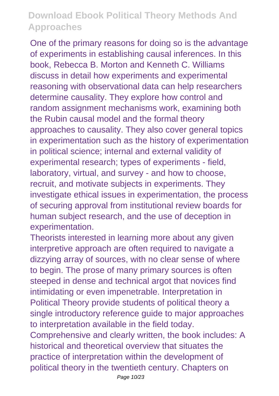One of the primary reasons for doing so is the advantage of experiments in establishing causal inferences. In this book, Rebecca B. Morton and Kenneth C. Williams discuss in detail how experiments and experimental reasoning with observational data can help researchers determine causality. They explore how control and random assignment mechanisms work, examining both the Rubin causal model and the formal theory approaches to causality. They also cover general topics in experimentation such as the history of experimentation in political science; internal and external validity of experimental research; types of experiments - field, laboratory, virtual, and survey - and how to choose, recruit, and motivate subjects in experiments. They investigate ethical issues in experimentation, the process of securing approval from institutional review boards for human subject research, and the use of deception in experimentation.

Theorists interested in learning more about any given interpretive approach are often required to navigate a dizzying array of sources, with no clear sense of where to begin. The prose of many primary sources is often steeped in dense and technical argot that novices find intimidating or even impenetrable. Interpretation in Political Theory provide students of political theory a single introductory reference guide to major approaches to interpretation available in the field today. Comprehensive and clearly written, the book includes: A historical and theoretical overview that situates the practice of interpretation within the development of political theory in the twentieth century. Chapters on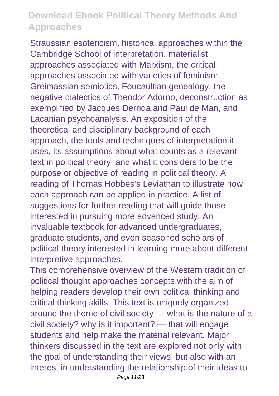Straussian esotericism, historical approaches within the Cambridge School of interpretation, materialist approaches associated with Marxism, the critical approaches associated with varieties of feminism, Greimassian semiotics, Foucaultian genealogy, the negative dialectics of Theodor Adorno, deconstruction as exemplified by Jacques Derrida and Paul de Man, and Lacanian psychoanalysis. An exposition of the theoretical and disciplinary background of each approach, the tools and techniques of interpretation it uses, its assumptions about what counts as a relevant text in political theory, and what it considers to be the purpose or objective of reading in political theory. A reading of Thomas Hobbes's Leviathan to illustrate how each approach can be applied in practice. A list of suggestions for further reading that will guide those interested in pursuing more advanced study. An invaluable textbook for advanced undergraduates, graduate students, and even seasoned scholars of political theory interested in learning more about different interpretive approaches.

This comprehensive overview of the Western tradition of political thought approaches concepts with the aim of helping readers develop their own political thinking and critical thinking skills. This text is uniquely organized around the theme of civil society — what is the nature of a civil society? why is it important? — that will engage students and help make the material relevant. Major thinkers discussed in the text are explored not only with the goal of understanding their views, but also with an interest in understanding the relationship of their ideas to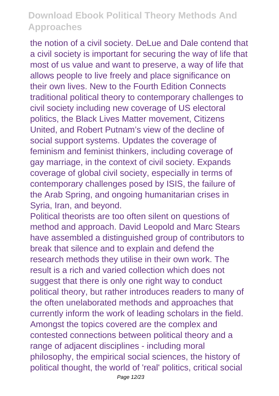the notion of a civil society. DeLue and Dale contend that a civil society is important for securing the way of life that most of us value and want to preserve, a way of life that allows people to live freely and place significance on their own lives. New to the Fourth Edition Connects traditional political theory to contemporary challenges to civil society including new coverage of US electoral politics, the Black Lives Matter movement, Citizens United, and Robert Putnam's view of the decline of social support systems. Updates the coverage of feminism and feminist thinkers, including coverage of gay marriage, in the context of civil society. Expands coverage of global civil society, especially in terms of contemporary challenges posed by ISIS, the failure of the Arab Spring, and ongoing humanitarian crises in Syria, Iran, and beyond.

Political theorists are too often silent on questions of method and approach. David Leopold and Marc Stears have assembled a distinguished group of contributors to break that silence and to explain and defend the research methods they utilise in their own work. The result is a rich and varied collection which does not suggest that there is only one right way to conduct political theory, but rather introduces readers to many of the often unelaborated methods and approaches that currently inform the work of leading scholars in the field. Amongst the topics covered are the complex and contested connections between political theory and a range of adjacent disciplines - including moral philosophy, the empirical social sciences, the history of political thought, the world of 'real' politics, critical social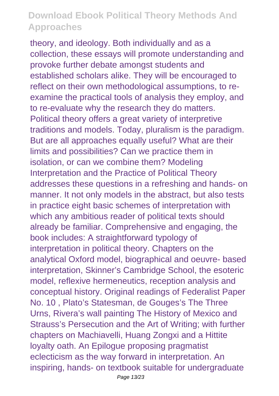theory, and ideology. Both individually and as a collection, these essays will promote understanding and provoke further debate amongst students and established scholars alike. They will be encouraged to reflect on their own methodological assumptions, to reexamine the practical tools of analysis they employ, and to re-evaluate why the research they do matters. Political theory offers a great variety of interpretive traditions and models. Today, pluralism is the paradigm. But are all approaches equally useful? What are their limits and possibilities? Can we practice them in isolation, or can we combine them? Modeling Interpretation and the Practice of Political Theory addresses these questions in a refreshing and hands- on manner. It not only models in the abstract, but also tests in practice eight basic schemes of interpretation with which any ambitious reader of political texts should already be familiar. Comprehensive and engaging, the book includes: A straightforward typology of interpretation in political theory. Chapters on the analytical Oxford model, biographical and oeuvre- based interpretation, Skinner's Cambridge School, the esoteric model, reflexive hermeneutics, reception analysis and conceptual history. Original readings of Federalist Paper No. 10 , Plato's Statesman, de Gouges's The Three Urns, Rivera's wall painting The History of Mexico and Strauss's Persecution and the Art of Writing; with further chapters on Machiavelli, Huang Zongxi and a Hittite loyalty oath. An Epilogue proposing pragmatist eclecticism as the way forward in interpretation. An inspiring, hands- on textbook suitable for undergraduate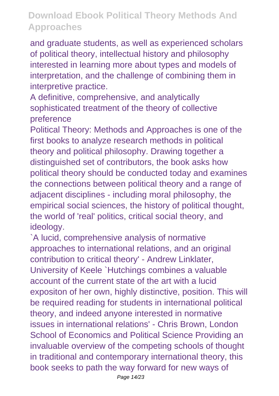and graduate students, as well as experienced scholars of political theory, intellectual history and philosophy interested in learning more about types and models of interpretation, and the challenge of combining them in interpretive practice.

A definitive, comprehensive, and analytically sophisticated treatment of the theory of collective preference

Political Theory: Methods and Approaches is one of the first books to analyze research methods in political theory and political philosophy. Drawing together a distinguished set of contributors, the book asks how political theory should be conducted today and examines the connections between political theory and a range of adjacent disciplines - including moral philosophy, the empirical social sciences, the history of political thought, the world of 'real' politics, critical social theory, and ideology.

`A lucid, comprehensive analysis of normative approaches to international relations, and an original contribution to critical theory' - Andrew Linklater, University of Keele `Hutchings combines a valuable account of the current state of the art with a lucid expositon of her own, highly distinctive, position. This will be required reading for students in international political theory, and indeed anyone interested in normative issues in international relations' - Chris Brown, London School of Economics and Political Science Providing an invaluable overview of the competing schools of thought in traditional and contemporary international theory, this book seeks to path the way forward for new ways of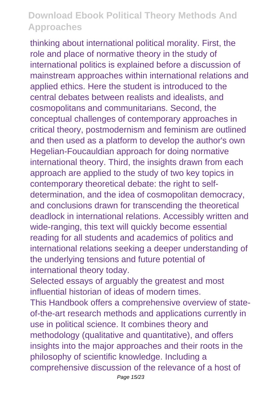thinking about international political morality. First, the role and place of normative theory in the study of international politics is explained before a discussion of mainstream approaches within international relations and applied ethics. Here the student is introduced to the central debates between realists and idealists, and cosmopolitans and communitarians. Second, the conceptual challenges of contemporary approaches in critical theory, postmodernism and feminism are outlined and then used as a platform to develop the author's own Hegelian-Foucauldian approach for doing normative international theory. Third, the insights drawn from each approach are applied to the study of two key topics in contemporary theoretical debate: the right to selfdetermination, and the idea of cosmopolitan democracy, and conclusions drawn for transcending the theoretical deadlock in international relations. Accessibly written and wide-ranging, this text will quickly become essential reading for all students and academics of politics and international relations seeking a deeper understanding of the underlying tensions and future potential of international theory today.

Selected essays of arguably the greatest and most influential historian of ideas of modern times.

This Handbook offers a comprehensive overview of stateof-the-art research methods and applications currently in use in political science. It combines theory and methodology (qualitative and quantitative), and offers insights into the major approaches and their roots in the philosophy of scientific knowledge. Including a comprehensive discussion of the relevance of a host of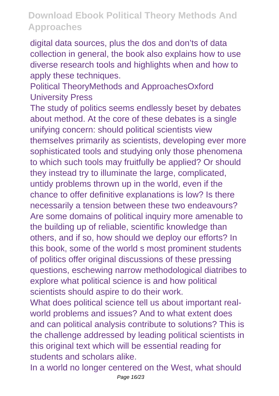digital data sources, plus the dos and don'ts of data collection in general, the book also explains how to use diverse research tools and highlights when and how to apply these techniques.

Political TheoryMethods and ApproachesOxford University Press

The study of politics seems endlessly beset by debates about method. At the core of these debates is a single unifying concern: should political scientists view themselves primarily as scientists, developing ever more sophisticated tools and studying only those phenomena to which such tools may fruitfully be applied? Or should they instead try to illuminate the large, complicated, untidy problems thrown up in the world, even if the chance to offer definitive explanations is low? Is there necessarily a tension between these two endeavours? Are some domains of political inquiry more amenable to the building up of reliable, scientific knowledge than others, and if so, how should we deploy our efforts? In this book, some of the world s most prominent students of politics offer original discussions of these pressing questions, eschewing narrow methodological diatribes to explore what political science is and how political scientists should aspire to do their work.

What does political science tell us about important realworld problems and issues? And to what extent does and can political analysis contribute to solutions? This is the challenge addressed by leading political scientists in this original text which will be essential reading for students and scholars alike.

In a world no longer centered on the West, what should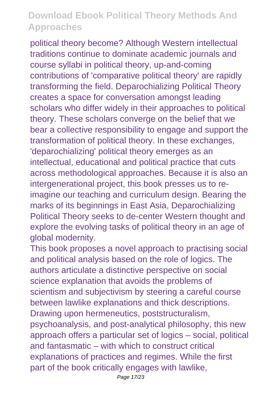political theory become? Although Western intellectual traditions continue to dominate academic journals and course syllabi in political theory, up-and-coming contributions of 'comparative political theory' are rapidly transforming the field. Deparochializing Political Theory creates a space for conversation amongst leading scholars who differ widely in their approaches to political theory. These scholars converge on the belief that we bear a collective responsibility to engage and support the transformation of political theory. In these exchanges, 'deparochializing' political theory emerges as an intellectual, educational and political practice that cuts across methodological approaches. Because it is also an intergenerational project, this book presses us to reimagine our teaching and curriculum design. Bearing the marks of its beginnings in East Asia, Deparochializing Political Theory seeks to de-center Western thought and explore the evolving tasks of political theory in an age of global modernity.

This book proposes a novel approach to practising social and political analysis based on the role of logics. The authors articulate a distinctive perspective on social science explanation that avoids the problems of scientism and subjectivism by steering a careful course between lawlike explanations and thick descriptions. Drawing upon hermeneutics, poststructuralism, psychoanalysis, and post-analytical philosophy, this new approach offers a particular set of logics – social, political and fantasmatic – with which to construct critical explanations of practices and regimes. While the first part of the book critically engages with lawlike,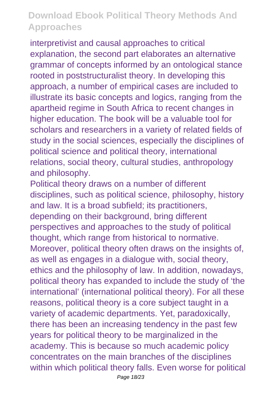interpretivist and causal approaches to critical explanation, the second part elaborates an alternative grammar of concepts informed by an ontological stance rooted in poststructuralist theory. In developing this approach, a number of empirical cases are included to illustrate its basic concepts and logics, ranging from the apartheid regime in South Africa to recent changes in higher education. The book will be a valuable tool for scholars and researchers in a variety of related fields of study in the social sciences, especially the disciplines of political science and political theory, international relations, social theory, cultural studies, anthropology and philosophy.

Political theory draws on a number of different disciplines, such as political science, philosophy, history and law. It is a broad subfield; its practitioners, depending on their background, bring different perspectives and approaches to the study of political thought, which range from historical to normative. Moreover, political theory often draws on the insights of, as well as engages in a dialogue with, social theory, ethics and the philosophy of law. In addition, nowadays, political theory has expanded to include the study of 'the international' (international political theory). For all these reasons, political theory is a core subject taught in a variety of academic departments. Yet, paradoxically, there has been an increasing tendency in the past few years for political theory to be marginalized in the academy. This is because so much academic policy concentrates on the main branches of the disciplines within which political theory falls. Even worse for political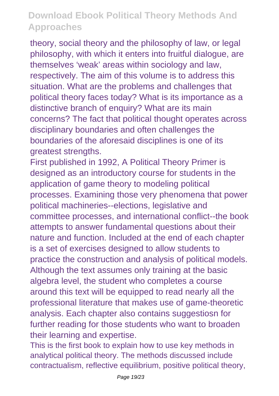theory, social theory and the philosophy of law, or legal philosophy, with which it enters into fruitful dialogue, are themselves 'weak' areas within sociology and law, respectively. The aim of this volume is to address this situation. What are the problems and challenges that political theory faces today? What is its importance as a distinctive branch of enquiry? What are its main concerns? The fact that political thought operates across disciplinary boundaries and often challenges the boundaries of the aforesaid disciplines is one of its greatest strengths.

First published in 1992, A Political Theory Primer is designed as an introductory course for students in the application of game theory to modeling political processes. Examining those very phenomena that power political machineries--elections, legislative and committee processes, and international conflict--the book attempts to answer fundamental questions about their nature and function. Included at the end of each chapter is a set of exercises designed to allow students to practice the construction and analysis of political models. Although the text assumes only training at the basic algebra level, the student who completes a course around this text will be equipped to read nearly all the professional literature that makes use of game-theoretic analysis. Each chapter also contains suggestiosn for further reading for those students who want to broaden their learning and expertise.

This is the first book to explain how to use key methods in analytical political theory. The methods discussed include contractualism, reflective equilibrium, positive political theory,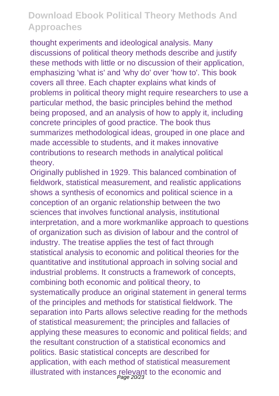thought experiments and ideological analysis. Many discussions of political theory methods describe and justify these methods with little or no discussion of their application, emphasizing 'what is' and 'why do' over 'how to'. This book covers all three. Each chapter explains what kinds of problems in political theory might require researchers to use a particular method, the basic principles behind the method being proposed, and an analysis of how to apply it, including concrete principles of good practice. The book thus summarizes methodological ideas, grouped in one place and made accessible to students, and it makes innovative contributions to research methods in analytical political theory.

Originally published in 1929. This balanced combination of fieldwork, statistical measurement, and realistic applications shows a synthesis of economics and political science in a conception of an organic relationship between the two sciences that involves functional analysis, institutional interpretation, and a more workmanlike approach to questions of organization such as division of labour and the control of industry. The treatise applies the test of fact through statistical analysis to economic and political theories for the quantitative and institutional approach in solving social and industrial problems. It constructs a framework of concepts, combining both economic and political theory, to systematically produce an original statement in general terms of the principles and methods for statistical fieldwork. The separation into Parts allows selective reading for the methods of statistical measurement; the principles and fallacies of applying these measures to economic and political fields; and the resultant construction of a statistical economics and politics. Basic statistical concepts are described for application, with each method of statistical measurement illustrated with instances relevant to the economic and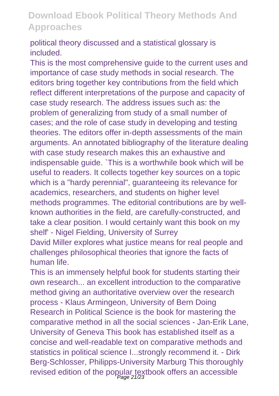political theory discussed and a statistical glossary is included.

This is the most comprehensive guide to the current uses and importance of case study methods in social research. The editors bring together key contributions from the field which reflect different interpretations of the purpose and capacity of case study research. The address issues such as: the problem of generalizing from study of a small number of cases; and the role of case study in developing and testing theories. The editors offer in-depth assessments of the main arguments. An annotated bibliography of the literature dealing with case study research makes this an exhaustive and indispensable guide. `This is a worthwhile book which will be useful to readers. It collects together key sources on a topic which is a "hardy perennial", guaranteeing its relevance for academics, researchers, and students on higher level methods programmes. The editorial contributions are by wellknown authorities in the field, are carefully-constructed, and take a clear position. I would certainly want this book on my shelf' - Nigel Fielding, University of Surrey David Miller explores what justice means for real people and

challenges philosophical theories that ignore the facts of human life.

This is an immensely helpful book for students starting their own research... an excellent introduction to the comparative method giving an authoritative overview over the research process - Klaus Armingeon, University of Bern Doing Research in Political Science is the book for mastering the comparative method in all the social sciences - Jan-Erik Lane, University of Geneva This book has established itself as a concise and well-readable text on comparative methods and statistics in political science I...strongly recommend it. - Dirk Berg-Schlosser, Philipps-University Marburg This thoroughly revised edition of the popular textbook offers an accessible<br>  $\frac{Page 21/23}$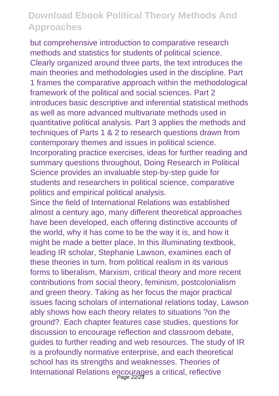but comprehensive introduction to comparative research methods and statistics for students of political science. Clearly organized around three parts, the text introduces the main theories and methodologies used in the discipline. Part 1 frames the comparative approach within the methodological framework of the political and social sciences. Part 2 introduces basic descriptive and inferential statistical methods as well as more advanced multivariate methods used in quantitative political analysis. Part 3 applies the methods and techniques of Parts 1 & 2 to research questions drawn from contemporary themes and issues in political science. Incorporating practice exercises, ideas for further reading and summary questions throughout, Doing Research in Political Science provides an invaluable step-by-step guide for students and researchers in political science, comparative politics and empirical political analysis.

Since the field of International Relations was established almost a century ago, many different theoretical approaches have been developed, each offering distinctive accounts of the world, why it has come to be the way it is, and how it might be made a better place. In this illuminating textbook, leading IR scholar, Stephanie Lawson, examines each of these theories in turn, from political realism in its various forms to liberalism, Marxism, critical theory and more recent contributions from social theory, feminism, postcolonialism and green theory. Taking as her focus the major practical issues facing scholars of international relations today, Lawson ably shows how each theory relates to situations ?on the ground?. Each chapter features case studies, questions for discussion to encourage reflection and classroom debate, guides to further reading and web resources. The study of IR is a profoundly normative enterprise, and each theoretical school has its strengths and weaknesses. Theories of International Relations encourages a critical, reflective